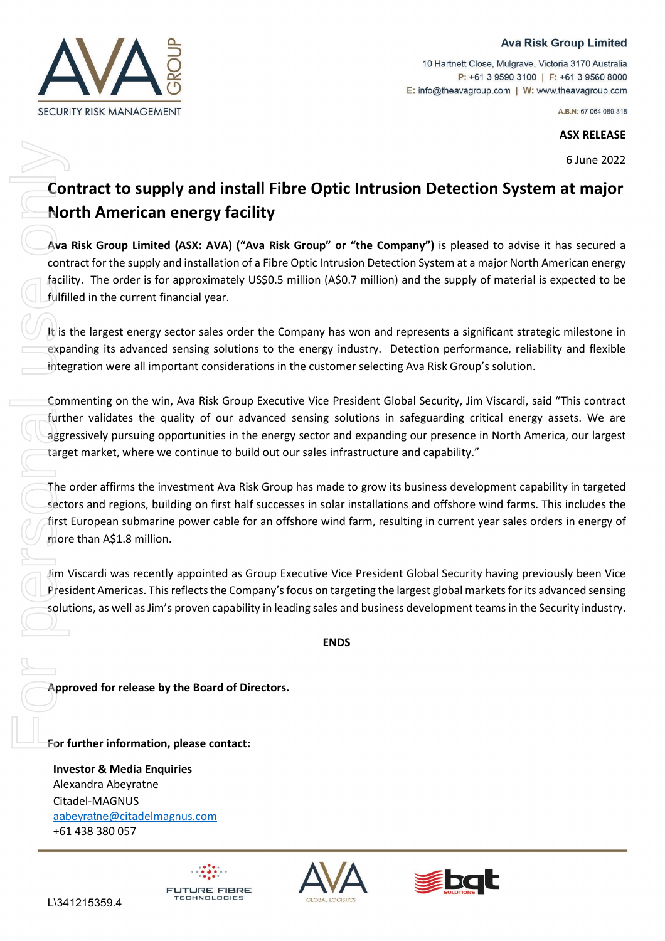## **Ava Risk Group Limited**

**SECURITY RISK MANAGEMENT** 

10 Hartnett Close, Mulgrave, Victoria 3170 Australia P: +61 3 9590 3100 | F: +61 3 9560 8000 E: info@theavagroup.com | W: www.theavagroup.com

A.B.N: 67 064 089 318

## **ASX RELEASE**

6 June 2022

## **Contract to supply and install Fibre Optic Intrusion Detection System at major North American energy facility**

**Ava Risk Group Limited (ASX: AVA) ("Ava Risk Group" or "the Company")** is pleased to advise it has secured a contract for the supply and installation of a Fibre Optic Intrusion Detection System at a major North American energy facility. The order is for approximately US\$0.5 million (A\$0.7 million) and the supply of material is expected to be fulfilled in the current financial year.

It is the largest energy sector sales order the Company has won and represents a significant strategic milestone in expanding its advanced sensing solutions to the energy industry. Detection performance, reliability and flexible integration were all important considerations in the customer selecting Ava Risk Group's solution.

Commenting on the win, Ava Risk Group Executive Vice President Global Security, Jim Viscardi, said "This contract further validates the quality of our advanced sensing solutions in safeguarding critical energy assets. We are aggressively pursuing opportunities in the energy sector and expanding our presence in North America, our largest target market, where we continue to build out our sales infrastructure and capability."

The order affirms the investment Ava Risk Group has made to grow its business development capability in targeted sectors and regions, building on first half successes in solar installations and offshore wind farms. This includes the first European submarine power cable for an offshore wind farm, resulting in current year sales orders in energy of more than A\$1.8 million.

Jim Viscardi was recently appointed as Group Executive Vice President Global Security having previously been Vice President Americas. This reflects the Company's focus on targeting the largest global markets for its advanced sensing solutions, as well as Jim's proven capability in leading sales and business development teams in the Security industry.

**ENDS**

**Approved for release by the Board of Directors.**

**ECHNOLOGIES** 

**For further information, please contact:** 

**Investor & Media Enquiries** Alexandra Abeyratne Citadel-MAGNUS aabeyratne[@citadelmagnus.com](mailto:aabeyratne@citadelmagnus.com) +61 438 380 057